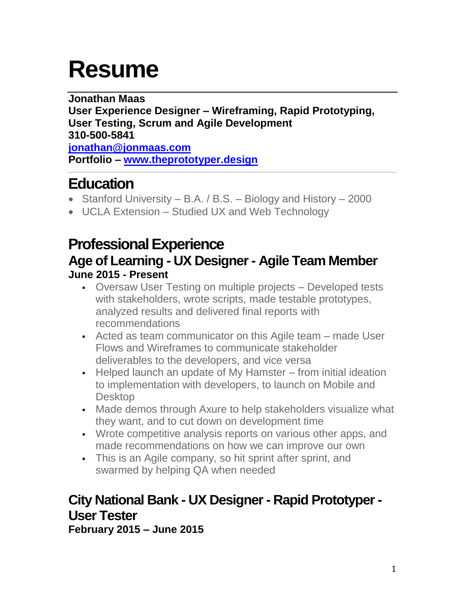# **Resume**

**Jonathan Maas User Experience Designer – Wireframing, Rapid Prototyping, User Testing, Scrum and Agile Development 310-500-5841 [jonathan@jonmaas.com](mailto:jonathan@jonmaas.com) Portfolio – [www.theprototyper.design](http://www.theprototyper.design/)**

# **Education**

- Stanford University B.A. / B.S. Biology and History 2000
- UCLA Extension Studied UX and Web Technology

#### **Professional Experience Age of Learning - UX Designer - Agile Team Member June 2015 - Present**

- Oversaw User Testing on multiple projects Developed tests with stakeholders, wrote scripts, made testable prototypes, analyzed results and delivered final reports with recommendations
- Acted as team communicator on this Agile team made User Flows and Wireframes to communicate stakeholder deliverables to the developers, and vice versa
- $\blacksquare$  Helped launch an update of My Hamster from initial ideation to implementation with developers, to launch on Mobile and Desktop
- Made demos through Axure to help stakeholders visualize what they want, and to cut down on development time
- Wrote competitive analysis reports on various other apps, and made recommendations on how we can improve our own
- **This is an Agile company, so hit sprint after sprint, and** swarmed by helping QA when needed

## **City National Bank - UX Designer - Rapid Prototyper - User Tester**

**February 2015 – June 2015**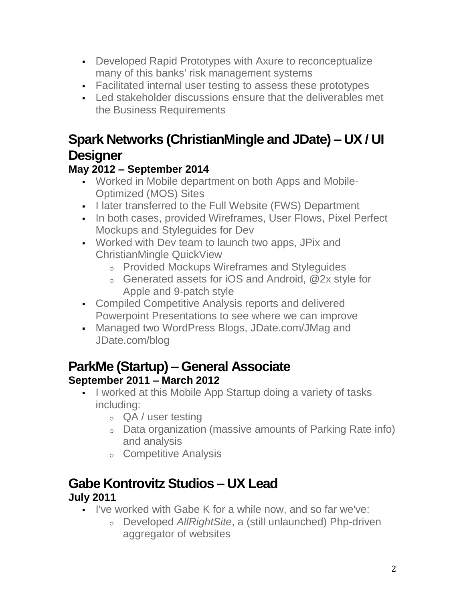- **Developed Rapid Prototypes with Axure to reconceptualize** many of this banks' risk management systems
- Facilitated internal user testing to assess these prototypes
- Led stakeholder discussions ensure that the deliverables met the Business Requirements

#### **Spark Networks (ChristianMingle and JDate) – UX / UI Designer**

#### **May 2012 – September 2014**

- Worked in Mobile department on both Apps and Mobile-Optimized (MOS) Sites
- I later transferred to the Full Website (FWS) Department
- **In both cases, provided Wireframes, User Flows, Pixel Perfect** Mockups and Styleguides for Dev
- Worked with Dev team to launch two apps, JPix and ChristianMingle QuickView
	- o Provided Mockups Wireframes and Styleguides
	- o Generated assets for iOS and Android, @2x style for Apple and 9-patch style
- Compiled Competitive Analysis reports and delivered Powerpoint Presentations to see where we can improve
- Managed two WordPress Blogs, JDate.com/JMag and JDate.com/blog

#### **ParkMe (Startup) – General Associate September 2011 – March 2012**

- **.** I worked at this Mobile App Startup doing a variety of tasks including:
	- o QA / user testing
	- o Data organization (massive amounts of Parking Rate info) and analysis
	- o Competitive Analysis

#### **Gabe Kontrovitz Studios – UX Lead July 2011**

- I've worked with Gabe K for a while now, and so far we've:
	- o Developed *AllRightSite*, a (still unlaunched) Php-driven aggregator of websites